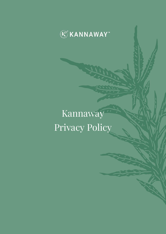

# Kannaway Privacy Policy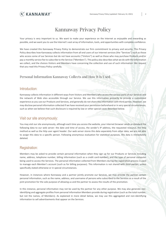

# Kannaway Privacy Policy

Your privacy is very important to us. We want to make your experience on the Internet as enjoyable and rewarding as possible, and we want you to use the Internet's vast array of information, tools, and opportunities with complete confidence.

We have created this Kannaway Privacy Policy to demonstrate our firm commitment to privacy and security. This Privacy Policy describes how Kannaway collects information from all end users of our Internet services (the "Services") such as those who access some of our Services but do not have accounts ("Visitors") as well as those who may purchase Products and/or pay a monthly service fee to subscribe to the Service ("Members"). This policy also describes what we do with the information we collect, and the choices Visitors and Members have concerning the collection and use of such information. We request that you read this Privacy Policy carefully.

#### Personal Information Kannaway Collects and How It Is Used

#### Introduction:

Kannaway collects information in different ways from Visitors and Members who access the various parts of our Services and the network of Web sites accessible through our Service. We use this information primarily to provide a customized experience as you use our Products and Services, and generally do not share this information with third parties. However, we may disclose personal information collected if we have received your permission beforehand or in very special circumstances, such as when we believe that such disclosure is required by law or other special cases described below.

#### Visit our site anonymously:

You may visit our site anonymously, although each time you access the website, your internet browser sends as standard the following data to our web server: the date and time of access, the sender's IP address, the requested resource, the http method as well as the http user agent header. Our web server stores this data separately from other data; we are not able to assign this data to a specific person. Following anonymous evaluation for statistical purposes, this data is immediately deleted.

#### Registration:

Members may be asked to provide certain personal information when they sign up for our Products or Services including name, address, telephone number, billing information (such as a credit card number), and the type of personal computer being used to access the Services. The personal information collected from Members during the registration process is used to manage each Member's account (such as for billing purposes). This information is not shared with third parties, unless specifically stated otherwise or in special circumstances.

However, in instances where Kannaway and a partner jointly promote our Services, we may provide the partner certain personal information, such as the name, address, and username of persons who subscribed to the Services as a result of the joint promotion for the sole purpose of allowing us and the partner to assess the results of the promotion.

In this instance, personal information may not be used by the partner for any other purpose. We may also generate nonidentifying and aggregate profiles from personal information Members provide during registration (such as the total number, but not the names, of Members). As explained in more detail below, we may use this aggregated and non-identifying information to sell advertisements that appear on the Services.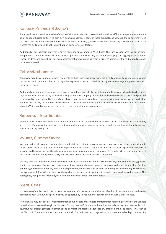

#### Kannaway Partners and Sponsors:

Some products and services may be offered to Visitors and Members in conjunction with an affiliate, independent contractor seller or non-affiliated partner. To provide Visitors and Members some of these products and services, the partner may need to collect and maintain personal information. In these instances, you will be notified before any such data is collected or transferred and may decide not to use that particular service or feature.

Additionally, our partners may have advertisements or co-branded Web Pages that are cosponsored by an affiliate, independent contractor seller, or non-affiliated partner. Kannaway may share nonidentifying and aggregate information (except as described above), but not personal information, with such partners in order to administer the co-branded products or services offered.

#### Online Advertisements:

Kannaway may display our online advertisements. In those cases, we share aggregated and nonidentifying information about our Visitors and Members collected through the registration process as well as through online surveys and promotions with these advertisers.

Additionally, in some instances, we use this aggregated and non-identifying information to deliver tailored advertisements or joint ventures. For instance, an advertiser or joint venture company tells us the audience they want to reach and provides us an advertisement tailored to the audience. Based upon the aggregated and non-identifying information we have collected, we may then display or send the advertisement to the intended audience. Kannaway does not share personal information about its Visitors or Members with these advertisers or joint venture companies.

#### Responses to Email Inquiries:

When Visitors or Members send email inquiries to Kannaway, the return email address is used to answer the email inquiry we receive. Kannaway does not use the return email address for any other purpose and does not share the return email address with any third party.

# Voluntary Customer Surveys:

We may periodically conduct both business and individual customer surveys. We encourage our customers to participate in these surveys because they provide us with important information that helps us to improve the types of products and services we offer and how we provide them to you. Your personal information and responses will remain strictly confidential, even if the survey is conducted by a third party. Participation in our customer surveys is voluntary.

We may take the information we receive from individuals responding to our Customer Surveys and combine (or aggregate) it with the responses of other customers we may have to create broader, generic responses to the survey questions (such as gender, age, residence, hobbies, education, employment, industry sector, or other demographic information). We then use the aggregated information to improve the quality of our services to you and to develop new services and products. This aggregated, non-personally identifying information may be shared with third parties.

# Special Cases:

It is Kannaway's policy not to use or share the personal information about Visitors of Members in ways unrelated to the ones described above without also providing you an opportunity to opt out or otherwise prohibit such unrelated uses.

However, we may disclose personal information about Visitors or Members or information regarding your use of the Services or Web sites accessible through our Services, for any reason if, in our sole discretion, we believe that it is reasonable to do so, including: credit agencies; collection agencies; merchant database agencies; law enforcement, or to satisfy laws, such as the Electronic Communications Privacy Act, the Child Online Privacy Act, regulations, or governmental or legal requests for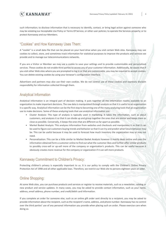

such information; to disclose information that is necessary to identify, contact, or bring legal action against someone who may be violating our Acceptable Use Policy or Terms Of Service, or other user policies; to operate the Services properly; or to protect Kannaway and our Members.

### "Cookies" and How Kannaway Uses Them:

A "cookie" is a small data file that can be placed on your hard drive when you visit certain Web sites. Kannaway may use cookies to collect, store, and sometimes track information for statistical purposes to improve the products and services we provide and to manage our telecommunications networks.

If you are a Visitor or Member we may use a cookie to save your settings and to provide customizable and personalized services. These cookies do not enable third parties to access any of your customer information. Additionally, be aware that if you visit other Web sites where you are prompted to log in or that are customizable, you may be required to accept cookies. You can delete existing cookies by using your browser's configuration interface.

Advertisers and partners may also use their own cookies. We do not control use of these cookies and expressly disclaim responsibility for information collected through them.

#### Analytical Information

Analytical information is an integral part of decision making. It puts together all the information readily available to an organization to make important decisions. The raw data is manipulated through analysis so that it is useful to an organization in a specific way. Analytical information can be the first step to becoming one of the many analyzing tools that an organization use to make decisions. Some of these analyzing tools that use analytical information are:

- Cluster Analysis: This type of analysis is typically used in marketing. It takes the information, such as about customers, and analyzes it so that it can divide up and group together the ones that are similar and keeps them as close as possible. Conversely, it keeps the ones that are different as far apart as possible.
- Market Basket Analysis: This analyzes information from websites and checkouts and manipulates it so that it can be used to figure out customers buying trends and behavior so that it can try and predict what future behavior may be. This can be useful because it may be used to forecast how much inventory the organization may or may not need.
- Personalization: This can be a little similar to Market Basket Analysis however it mainly deals online and uses the information obtained form a customer online to find out what the customer likes and further offer similar products to possibly cross-sell or up-sell more of the company or organization's products. This can be useful because it obviously creates more revenue for the company or organization if it can sell more products.

# Kannaway Commitment to Children's Privacy:

Protecting children's privacy is especially important to us. It is our policy to comply with the Children's Online Privacy Protection Act of 1998 and all other applicable laws. Therefore, we restrict our Web site to persons eighteen years or older.

# Online Shopping:

At some Web sites, you can purchase products and services or register to receive materials, such as a newsletter, catalog or new product and service updates. In many cases, you may be asked to provide contact information, such as your name, address, email address, phone number, and credit/debit card information.

If you complete an order for someone else, such as an online gift order sent directly to a recipient, you may be asked to provide information about the recipient, such as the recipient's name, address, and phone number. Kannaway has no control over the third parties' use of any personal information you provide when placing such an order. Please exercise care when doing so.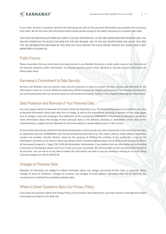

If you order services or products directly from Kannaway we will use the personal information you provide only to process that order. We do not share this information with outside parties except to the extent necessary to complete that order.

YOU MUST BE EIGHTEEN (18) YEARS OR OLDER TO ACCESS THIS WEB SITE. IF YOU ARE UNDER EIGHTEEN YEARS OF AGE, YOU ARE NOT PERMITTED TO ACCESS THIS WEB SITE FOR ANY REASON. DUE TO THE AGE RESTRICTIONS FOR USE OF THIS WEB SITE, NO INFORMATION OBTAINED BY THIS WEB SITE FALLS WITHIN THE CHILD ONLINE PRIVACY ACT (COPA) AND IS NOT MONITORED AS DOING SO.

# Public Forums:

Please remember that any information you may disclose in any Member Directory or other public areas of our Web sites or the Internet becomes public information. You should exercise caution when deciding to disclose personal information in these public areas.

# Kannaway's Commitment to Data Security:

Services and websites that we sponsor have security measures in place to protect the loss, misuse, and alteration of the information under our control. While we make every effort to ensure the integrity and security of our network and systems, we cannot guarantee that our security measures will prevent third-party "hackers" from illegally obtaining this information.

# Data Protection and Removal of Your Personal Data:

You may request details of personal information which we hold about you. The Brand Ambassadors are entitled at any time to demand information about their data free of charge, as well as the amendment, blocking or deletion of their data (again free of charge), unless this endangers the fulfillment of the contract by KANNAWAY. If the Brand Ambassadors would like more information about the storage of their personal data or the deletion, blocking or amendment of the data of the interested party, support can be obtained via the email address or postal address given in this section.

Personal data will only be collected if the Brand Ambassadors communicate such data voluntarily in the context of the order or registration process. KANNAWAY uses the transmitted personal data (e.g. title, name, address, email address, telephone number, fax number, transfer details), solely for the purpose of fulfilling the contract. If you would like a copy of the information we keep on our systems about you please email: Compliance@kannaway.com or write to our Corporate Offices at: Kannaway Europe B.V., Singel 250, 1016 AB Amsterdam, Netherlands. If you believe that any information we are holding is incorrect or incomplete, please write to or email us as soon as possible. We will promptly correct any information found to be incorrect. You can ask us at any time to delete the information we hold on you by emailing or writing to us or by calling Customer Support at +48 22 299 82 00.

# Changes to Personal Data:

Members of Kannaway are obliged to inform Kannaway about any change concerning his/her data, in particular about changes of place of residence, changes of surname, and changes of email address. Kannaway shall not be liable for the consequences resulting from providing mistaken data.

# Where to Direct Questions About Our Privacy Policy:

If you have any questions about this Privacy Policy or the practices described herein, you may contact us through the contact information provided on this Web site.